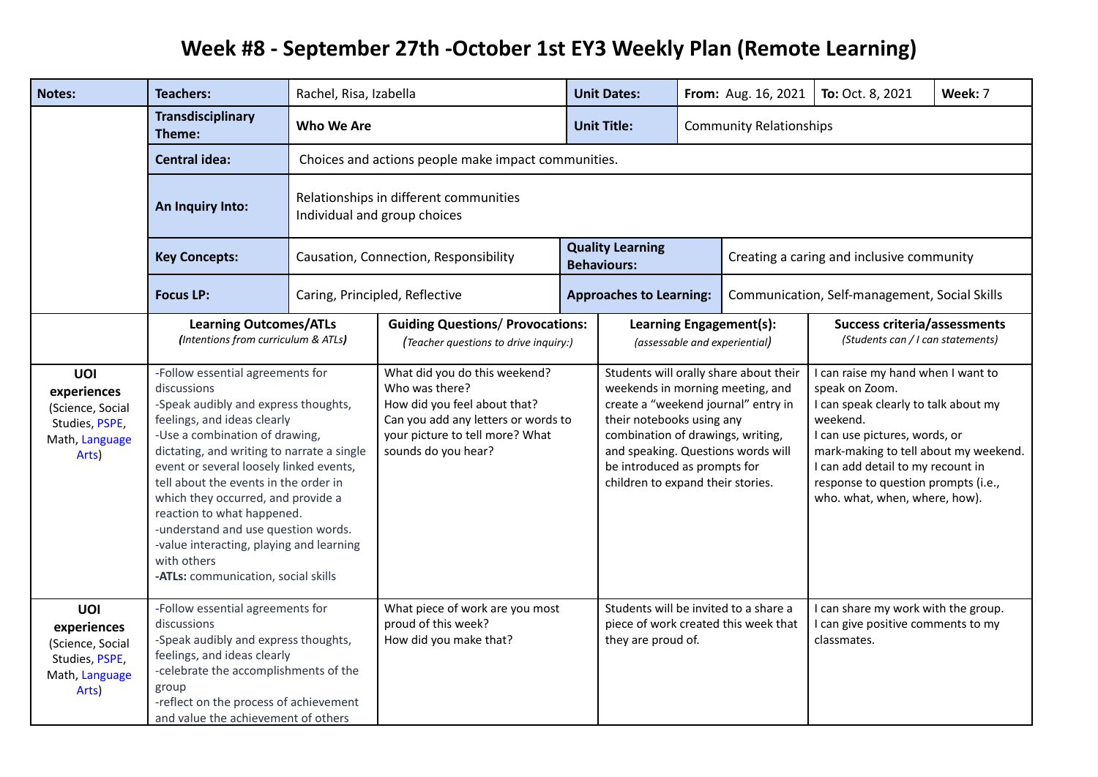## **Week #8 - September 27th -October 1st EY3 Weekly Plan (Remote Learning)**

| Notes:                                                                              | <b>Teachers:</b>                                                                                                                                                                                                                                                                                                                                                                                                                                                                                        | Rachel, Risa, Izabella                                                 |                                                                                                                                                                                                               |  | <b>Unit Dates:</b>                                                                                                                                                                                                                                                |                                                          | From: Aug. 16, 2021                                                                                                                                                                                                                                                                             | To: Oct. 8, 2021                                                         | Week: 7 |
|-------------------------------------------------------------------------------------|---------------------------------------------------------------------------------------------------------------------------------------------------------------------------------------------------------------------------------------------------------------------------------------------------------------------------------------------------------------------------------------------------------------------------------------------------------------------------------------------------------|------------------------------------------------------------------------|---------------------------------------------------------------------------------------------------------------------------------------------------------------------------------------------------------------|--|-------------------------------------------------------------------------------------------------------------------------------------------------------------------------------------------------------------------------------------------------------------------|----------------------------------------------------------|-------------------------------------------------------------------------------------------------------------------------------------------------------------------------------------------------------------------------------------------------------------------------------------------------|--------------------------------------------------------------------------|---------|
|                                                                                     | <b>Transdisciplinary</b><br>Theme:                                                                                                                                                                                                                                                                                                                                                                                                                                                                      | Who We Are<br><b>Unit Title:</b><br><b>Community Relationships</b>     |                                                                                                                                                                                                               |  |                                                                                                                                                                                                                                                                   |                                                          |                                                                                                                                                                                                                                                                                                 |                                                                          |         |
|                                                                                     | <b>Central idea:</b>                                                                                                                                                                                                                                                                                                                                                                                                                                                                                    | Choices and actions people make impact communities.                    |                                                                                                                                                                                                               |  |                                                                                                                                                                                                                                                                   |                                                          |                                                                                                                                                                                                                                                                                                 |                                                                          |         |
|                                                                                     | An Inquiry Into:                                                                                                                                                                                                                                                                                                                                                                                                                                                                                        | Relationships in different communities<br>Individual and group choices |                                                                                                                                                                                                               |  |                                                                                                                                                                                                                                                                   |                                                          |                                                                                                                                                                                                                                                                                                 |                                                                          |         |
|                                                                                     | <b>Key Concepts:</b>                                                                                                                                                                                                                                                                                                                                                                                                                                                                                    |                                                                        | Causation, Connection, Responsibility                                                                                                                                                                         |  | <b>Quality Learning</b><br><b>Behaviours:</b>                                                                                                                                                                                                                     | Creating a caring and inclusive community                |                                                                                                                                                                                                                                                                                                 |                                                                          |         |
|                                                                                     | <b>Focus LP:</b>                                                                                                                                                                                                                                                                                                                                                                                                                                                                                        |                                                                        | Caring, Principled, Reflective                                                                                                                                                                                |  | <b>Approaches to Learning:</b>                                                                                                                                                                                                                                    |                                                          | Communication, Self-management, Social Skills                                                                                                                                                                                                                                                   |                                                                          |         |
|                                                                                     | <b>Learning Outcomes/ATLs</b><br>(Intentions from curriculum & ATLs)                                                                                                                                                                                                                                                                                                                                                                                                                                    |                                                                        | <b>Guiding Questions/ Provocations:</b><br>(Teacher questions to drive inquiry:)                                                                                                                              |  |                                                                                                                                                                                                                                                                   | Learning Engagement(s):<br>(assessable and experiential) |                                                                                                                                                                                                                                                                                                 | <b>Success criteria/assessments</b><br>(Students can / I can statements) |         |
| UOI<br>experiences<br>(Science, Social<br>Studies, PSPE,<br>Math, Language<br>Arts) | -Follow essential agreements for<br>discussions<br>-Speak audibly and express thoughts,<br>feelings, and ideas clearly<br>-Use a combination of drawing,<br>dictating, and writing to narrate a single<br>event or several loosely linked events,<br>tell about the events in the order in<br>which they occurred, and provide a<br>reaction to what happened.<br>-understand and use question words.<br>-value interacting, playing and learning<br>with others<br>-ATLs: communication, social skills |                                                                        | What did you do this weekend?<br>Who was there?<br>How did you feel about that?<br>Can you add any letters or words to<br>their notebooks using any<br>your picture to tell more? What<br>sounds do you hear? |  | Students will orally share about their<br>weekends in morning meeting, and<br>create a "weekend journal" entry in<br>combination of drawings, writing,<br>and speaking. Questions words will<br>be introduced as prompts for<br>children to expand their stories. |                                                          | I can raise my hand when I want to<br>speak on Zoom.<br>I can speak clearly to talk about my<br>weekend.<br>I can use pictures, words, or<br>mark-making to tell about my weekend.<br>I can add detail to my recount in<br>response to question prompts (i.e.,<br>who. what, when, where, how). |                                                                          |         |
| UOI<br>experiences<br>(Science, Social<br>Studies, PSPE,<br>Math, Language<br>Arts) | -Follow essential agreements for<br>discussions<br>-Speak audibly and express thoughts,<br>feelings, and ideas clearly<br>-celebrate the accomplishments of the<br>group<br>-reflect on the process of achievement<br>and value the achievement of others                                                                                                                                                                                                                                               |                                                                        | What piece of work are you most<br>proud of this week?<br>How did you make that?                                                                                                                              |  | Students will be invited to a share a<br>piece of work created this week that<br>they are proud of.                                                                                                                                                               |                                                          | I can share my work with the group.<br>I can give positive comments to my<br>classmates.                                                                                                                                                                                                        |                                                                          |         |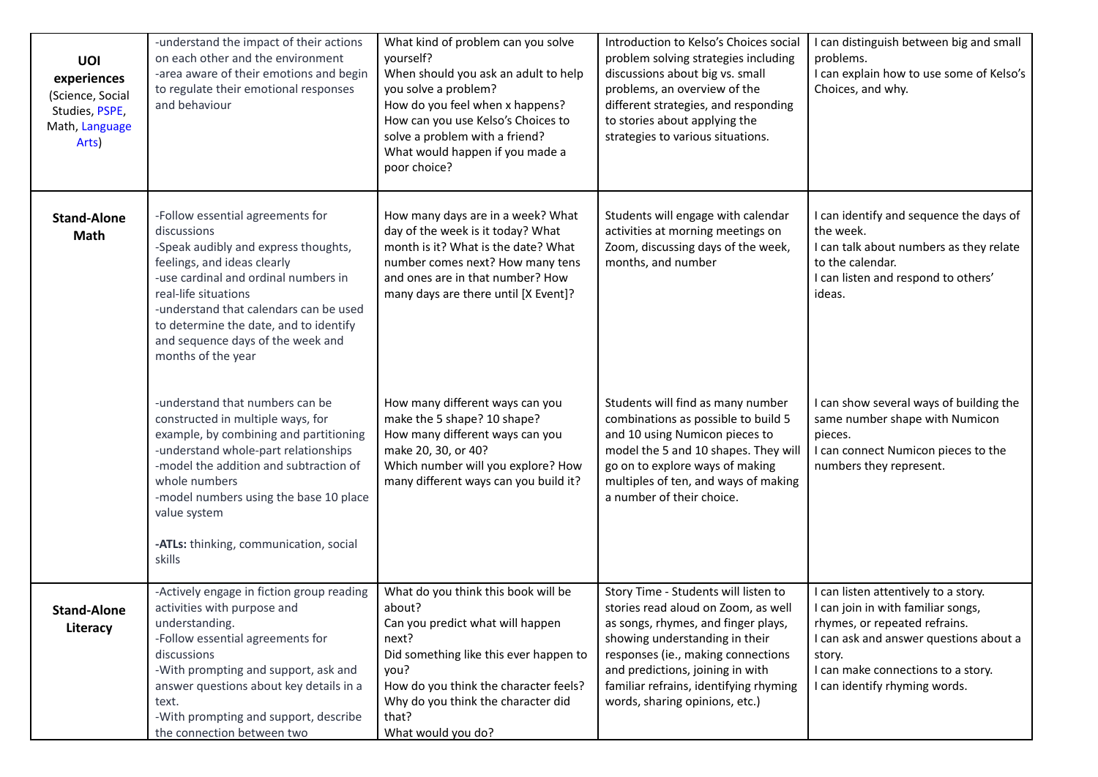| <b>UOI</b><br>experiences<br>(Science, Social<br>Studies, PSPE,<br>Math, Language<br>Arts) | -understand the impact of their actions<br>on each other and the environment<br>-area aware of their emotions and begin<br>to regulate their emotional responses<br>and behaviour                                                                                                                                                     | What kind of problem can you solve<br>yourself?<br>When should you ask an adult to help<br>you solve a problem?<br>How do you feel when x happens?<br>How can you use Kelso's Choices to<br>solve a problem with a friend?<br>What would happen if you made a<br>poor choice? | Introduction to Kelso's Choices social<br>problem solving strategies including<br>discussions about big vs. small<br>problems, an overview of the<br>different strategies, and responding<br>to stories about applying the<br>strategies to various situations.                                            | I can distinguish between big and small<br>problems.<br>I can explain how to use some of Kelso's<br>Choices, and why.                                                                                                                  |  |
|--------------------------------------------------------------------------------------------|---------------------------------------------------------------------------------------------------------------------------------------------------------------------------------------------------------------------------------------------------------------------------------------------------------------------------------------|-------------------------------------------------------------------------------------------------------------------------------------------------------------------------------------------------------------------------------------------------------------------------------|------------------------------------------------------------------------------------------------------------------------------------------------------------------------------------------------------------------------------------------------------------------------------------------------------------|----------------------------------------------------------------------------------------------------------------------------------------------------------------------------------------------------------------------------------------|--|
| <b>Stand-Alone</b><br>Math                                                                 | -Follow essential agreements for<br>discussions<br>-Speak audibly and express thoughts,<br>feelings, and ideas clearly<br>-use cardinal and ordinal numbers in<br>real-life situations<br>-understand that calendars can be used<br>to determine the date, and to identify<br>and sequence days of the week and<br>months of the year | How many days are in a week? What<br>day of the week is it today? What<br>month is it? What is the date? What<br>number comes next? How many tens<br>and ones are in that number? How<br>many days are there until [X Event]?                                                 | Students will engage with calendar<br>activities at morning meetings on<br>Zoom, discussing days of the week,<br>months, and number                                                                                                                                                                        | I can identify and sequence the days of<br>the week.<br>I can talk about numbers as they relate<br>to the calendar.<br>I can listen and respond to others'<br>ideas.                                                                   |  |
|                                                                                            | -understand that numbers can be<br>constructed in multiple ways, for<br>example, by combining and partitioning<br>-understand whole-part relationships<br>-model the addition and subtraction of<br>whole numbers<br>-model numbers using the base 10 place<br>value system<br>-ATLs: thinking, communication, social<br>skills       | How many different ways can you<br>make the 5 shape? 10 shape?<br>How many different ways can you<br>make 20, 30, or 40?<br>Which number will you explore? How<br>many different ways can you build it?                                                                       | Students will find as many number<br>combinations as possible to build 5<br>and 10 using Numicon pieces to<br>model the 5 and 10 shapes. They will<br>go on to explore ways of making<br>multiples of ten, and ways of making<br>a number of their choice.                                                 | I can show several ways of building the<br>same number shape with Numicon<br>pieces.<br>I can connect Numicon pieces to the<br>numbers they represent.                                                                                 |  |
| <b>Stand-Alone</b><br>Literacy                                                             | -Actively engage in fiction group reading<br>activities with purpose and<br>understanding.<br>-Follow essential agreements for<br>discussions<br>-With prompting and support, ask and<br>answer questions about key details in a<br>text.<br>-With prompting and support, describe<br>the connection between two                      | What do you think this book will be<br>about?<br>Can you predict what will happen<br>next?<br>Did something like this ever happen to<br>you?<br>How do you think the character feels?<br>Why do you think the character did<br>that?<br>What would you do?                    | Story Time - Students will listen to<br>stories read aloud on Zoom, as well<br>as songs, rhymes, and finger plays,<br>showing understanding in their<br>responses (ie., making connections<br>and predictions, joining in with<br>familiar refrains, identifying rhyming<br>words, sharing opinions, etc.) | I can listen attentively to a story.<br>I can join in with familiar songs,<br>rhymes, or repeated refrains.<br>I can ask and answer questions about a<br>story.<br>I can make connections to a story.<br>I can identify rhyming words. |  |